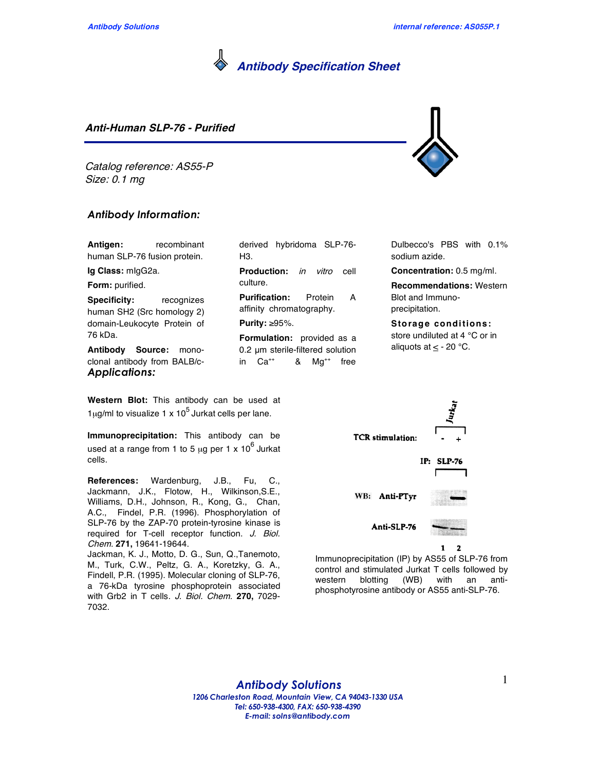

## **Anti-Human SLP-76 - Purified**

Catalog reference: AS55-P Size: 0.1 mg

## *Antibody Information:*

**Antigen:** recombinant human SLP-76 fusion protein.

**Ig Class:** mIgG2a.

**Form:** purified.

**Specificity:** recognizes human SH2 (Src homology 2) domain-Leukocyte Protein of 76 kDa.

**Antibody Source:** monoclonal antibody from BALB/c-*Applications:*

**Western Blot:** This antibody can be used at 1 $\mu$ g/ml to visualize 1 x 10<sup>5</sup> Jurkat cells per lane.

**Immunoprecipitation:** This antibody can be used at a range from 1 to 5  $\mu$ g per 1 x 10 $^6$  Jurkat cells.

**References:** Wardenburg, J.B., Fu, C., Jackmann, J.K., Flotow, H., Wilkinson,S.E., Williams, D.H., Johnson, R., Kong, G., Chan, A.C., Findel, P.R. (1996). Phosphorylation of SLP-76 by the ZAP-70 protein-tyrosine kinase is required for T-cell receptor function. J. Biol. Chem. **271,** 19641-19644.

Jackman, K. J., Motto, D. G., Sun, Q.,Tanemoto, M., Turk, C.W., Peltz, G. A., Koretzky, G. A., Findell, P.R. (1995). Molecular cloning of SLP-76, a 76-kDa tyrosine phosphoprotein associated with Grb2 in T cells. J. Biol. Chem. **270,** 7029- 7032.

derived hybridoma SLP-76- H3.

**Production:** in vitro cell culture.

**Purification:** Protein A affinity chromatography.

**Purity:** ≥95%.

**Formulation:** provided as a 0.2 um sterile-filtered solution in  $Ca^{++}$  &  $Mg^{++}$  free

Dulbecco's PBS with 0.1% sodium azide.

**Concentration:** 0.5 mg/ml.

**Recommendations:** Western Blot and Immunoprecipitation.

**Storage conditions:**

store undiluted at 4 °C or in aliquots at  $\leq$  - 20 °C.



 $\mathbf{z}$ 

Immunoprecipitation (IP) by AS55 of SLP-76 from control and stimulated Jurkat T cells followed by western blotting (WB) with an antiphosphotyrosine antibody or AS55 anti-SLP-76.